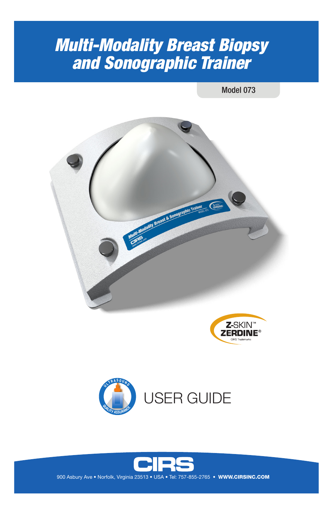# *Multi-Modality Breast Biopsy and Sonographic Trainer*

Model 073







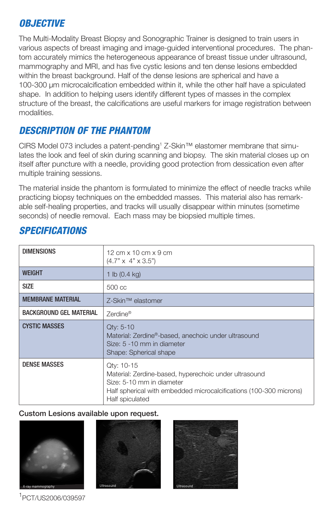# *OBJECTIVE*

The Multi-Modality Breast Biopsy and Sonographic Trainer is designed to train users in various aspects of breast imaging and image-guided interventional procedures. The phantom accurately mimics the heterogeneous appearance of breast tissue under ultrasound, mammography and MRI, and has five cystic lesions and ten dense lesions embedded within the breast background. Half of the dense lesions are spherical and have a 100-300 μm microcalcification embedded within it, while the other half have a spiculated shape. In addition to helping users identify different types of masses in the complex structure of the breast, the calcifications are useful markers for image registration between modalities.

# *DESCRIPTION OF THE PHANTOM*

CIRS Model 073 includes a patent-pending1 Z-Skin™ elastomer membrane that simulates the look and feel of skin during scanning and biopsy. The skin material closes up on itself after puncture with a needle, providing good protection from dessication even after multiple training sessions.

The material inside the phantom is formulated to minimize the effect of needle tracks while practicing biopsy techniques on the embedded masses. This material also has remarkable self-healing properties, and tracks will usually disappear within minutes (sometime seconds) of needle removal. Each mass may be biopsied multiple times.

| <b>DIMENSIONS</b>              | 12 cm $\times$ 10 cm $\times$ 9 cm<br>$(4.7" \times 4" \times 3.5")$                                                                                                                      |
|--------------------------------|-------------------------------------------------------------------------------------------------------------------------------------------------------------------------------------------|
| <b>WFIGHT</b>                  | 1 lb $(0.4 \text{ kg})$                                                                                                                                                                   |
| <b>SIZE</b>                    | 500 cc                                                                                                                                                                                    |
| <b>MEMBRANE MATERIAL</b>       | Z-Skin™ elastomer                                                                                                                                                                         |
| <b>BACKGROUND GEL MATERIAL</b> | Zerdine®                                                                                                                                                                                  |
| <b>CYSTIC MASSES</b>           | Qty: 5-10<br>Material: Zerdine®-based, anechoic under ultrasound<br>Size: 5 -10 mm in diameter<br>Shape: Spherical shape                                                                  |
| <b>DENSE MASSES</b>            | Qty: 10-15<br>Material: Zerdine-based, hyperechoic under ultrasound<br>Size: 5-10 mm in diameter<br>Half spherical with embedded microcalcifications (100-300 microns)<br>Half spiculated |

# *SPECIFICATIONS*

#### Custom Lesions available upon request.







1 PCT/US2006/039597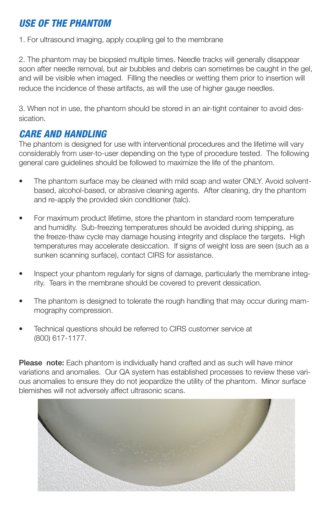# *USE OF THE PHANTOM*

1. For ultrasound imaging, apply coupling gel to the membrane

2. The phantom may be biopsied multiple times. Needle tracks will generally disappear soon after needle removal, but air bubbles and debris can sometimes be caught in the gel, and will be visible when imaged. Filling the needles or wetting them prior to insertion will reduce the incidence of these artifacts, as will the use of higher gauge needles.

3. When not in use, the phantom should be stored in an air-tight container to avoid dessication.

## *CARE AND HANDLING*

The phantom is designed for use with interventional procedures and the lifetime will vary considerably from user-to-user depending on the type of procedure tested. The following general care guidelines should be followed to maximize the life of the phantom.

- The phantom surface may be cleaned with mild soap and water ONLY. Avoid solventbased, alcohol-based, or abrasive cleaning agents. After cleaning, dry the phantom and re-apply the provided skin conditioner (talc).
- For maximum product lifetime, store the phantom in standard room temperature and humidity. Sub-freezing temperatures should be avoided during shipping, as the freeze-thaw cycle may damage housing integrity and displace the targets. High temperatures may accelerate desiccation. If signs of weight loss are seen (such as a sunken scanning surface), contact CIRS for assistance.
- Inspect your phantom regularly for signs of damage, particularly the membrane integrity. Tears in the membrane should be covered to prevent dessication.
- The phantom is designed to tolerate the rough handling that may occur during mammography compression.
- Technical questions should be referred to CIRS customer service at (800) 617-1177.

**Please note:** Each phantom is individually hand crafted and as such will have minor variations and anomalies. Our QA system has established processes to review these various anomalies to ensure they do not jeopardize the utility of the phantom. Minor surface blemishes will not adversely affect ultrasonic scans.